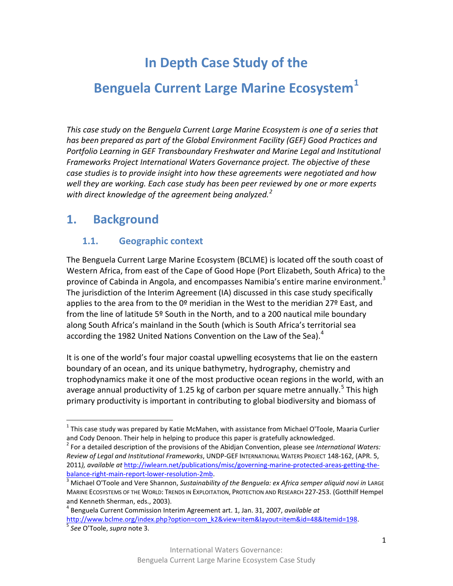# **In Depth Case Study of the Benguela Current Large Marine Ecosystem[1](#page-0-0)**

*This case study on the Benguela Current Large Marine Ecosystem is one of a series that has been prepared as part of the Global Environment Facility (GEF) Good Practices and Portfolio Learning in GEF Transboundary Freshwater and Marine Legal and Institutional Frameworks Project International Waters Governance project. The objective of these case studies is to provide insight into how these agreements were negotiated and how well they are working. Each case study has been peer reviewed by one or more experts with direct knowledge of the agreement being analyzed.[2](#page-0-1)*

# **1. Background**

### **1.1. Geographic context**

The Benguela Current Large Marine Ecosystem (BCLME) is located off the south coast of Western Africa, from east of the Cape of Good Hope (Port Elizabeth, South Africa) to the province of Cabinda in Angola, and encompasses Namibia's entire marine environment.<sup>[3](#page-0-2)</sup> The jurisdiction of the Interim Agreement (IA) discussed in this case study specifically applies to the area from to the  $0<sup>°</sup>$  meridian in the West to the meridian 27 $<sup>°</sup>$  East, and</sup> from the line of latitude 5º South in the North, and to a 200 nautical mile boundary along South Africa's mainland in the South (which is South Africa's territorial sea according the 1982 United Nations Convention on the Law of the Sea). $4$ 

It is one of the world's four major coastal upwelling ecosystems that lie on the eastern boundary of an ocean, and its unique bathymetry, hydrography, chemistry and trophodynamics make it one of the most productive ocean regions in the world, with an average annual productivity of 1.2[5](#page-0-4) kg of carbon per square metre annually.<sup>5</sup> This high primary productivity is important in contributing to global biodiversity and biomass of

<span id="page-0-0"></span> $<sup>1</sup>$  This case study was prepared by Katie McMahen, with assistance from Michael O'Toole, Maaria Curlier</sup> and Cody Denoon. Their help in helping to produce this paper is gratefully acknowledged.

<span id="page-0-1"></span><sup>2</sup> For a detailed description of the provisions of the Abidjan Convention, please see *International Waters: Review of Legal and Institutional Frameworks*, UNDP-GEF INTERNATIONAL WATERS PROJECT 148-162, (APR. 5, 2011*), available at* [http://iwlearn.net/publications/misc/governing-marine-protected-areas-getting-the](http://iwlearn.net/publications/misc/governing-marine-protected-areas-getting-the-balance-right-main-report-lower-resolution-2mb)[balance-right-main-report-lower-resolution-2mb.](http://iwlearn.net/publications/misc/governing-marine-protected-areas-getting-the-balance-right-main-report-lower-resolution-2mb)

<span id="page-0-2"></span><sup>3</sup> Michael O'Toole and Vere Shannon, *Sustainability of the Benguela: ex Africa semper aliquid novi in* LARGE MARINE ECOSYSTEMS OF THE WORLD: TRENDS IN EXPLOITATION, PROTECTION AND RESEARCH 227-253. (Gotthilf Hempel and Kenneth Sherman, eds., 2003).

<span id="page-0-4"></span><span id="page-0-3"></span><sup>4</sup> Benguela Current Commission Interim Agreement art. 1, Jan. 31, 2007, *available at* [http://www.bclme.org/index.php?option=com\\_k2&view=item&layout=item&id=48&Itemid=198.](http://www.bclme.org/index.php?option=com_k2&view=item&layout=item&id=48&Itemid=198) <sup>5</sup> *See* O'Toole, *supra* note 3.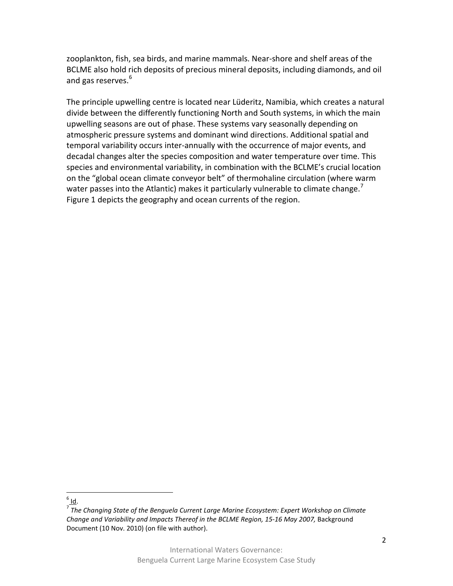zooplankton, fish, sea birds, and marine mammals. Near-shore and shelf areas of the BCLME also hold rich deposits of precious mineral deposits, including diamonds, and oil and gas reserves.<sup>[6](#page-1-0)</sup>

The principle upwelling centre is located near Lüderitz, Namibia, which creates a natural divide between the differently functioning North and South systems, in which the main upwelling seasons are out of phase. These systems vary seasonally depending on atmospheric pressure systems and dominant wind directions. Additional spatial and temporal variability occurs inter-annually with the occurrence of major events, and decadal changes alter the species composition and water temperature over time. This species and environmental variability, in combination with the BCLME's crucial location on the "global ocean climate conveyor belt" of thermohaline circulation (where warm water passes into the Atlantic) makes it particularly vulnerable to climate change.<sup>[7](#page-1-1)</sup> Figure 1 depicts the geography and ocean currents of the region.

<span id="page-1-0"></span> $6$  Id.

<span id="page-1-1"></span><sup>7</sup> *The Changing State of the Benguela Current Large Marine Ecosystem: Expert Workshop on Climate*  Change and Variability and Impacts Thereof in the BCLME Region, 15-16 May 2007, Background Document (10 Nov. 2010) (on file with author).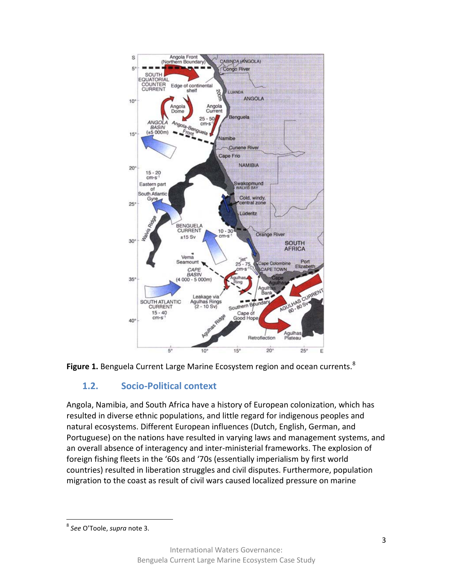



### **1.2. Socio-Political context**

Angola, Namibia, and South Africa have a history of European colonization, which has resulted in diverse ethnic populations, and little regard for indigenous peoples and natural ecosystems. Different European influences (Dutch, English, German, and Portuguese) on the nations have resulted in varying laws and management systems, and an overall absence of interagency and inter-ministerial frameworks. The explosion of foreign fishing fleets in the '60s and '70s (essentially imperialism by first world countries) resulted in liberation struggles and civil disputes. Furthermore, population migration to the coast as result of civil wars caused localized pressure on marine

<span id="page-2-0"></span><sup>8</sup> *See* O'Toole, *supra* note 3.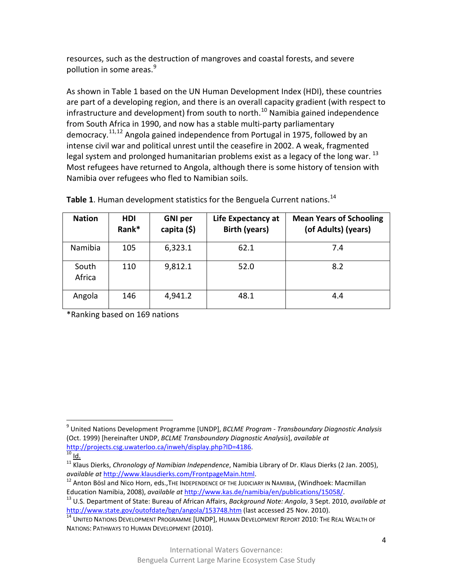resources, such as the destruction of mangroves and coastal forests, and severe pollution in some areas.<sup>[9](#page-3-0)</sup>

As shown in Table 1 based on the UN Human Development Index (HDI), these countries are part of a developing region, and there is an overall capacity gradient (with respect to infrastructure and development) from south to north.<sup>[10](#page-3-1)</sup> Namibia gained independence from South Africa in 1990, and now has a stable multi-party parliamentary democracy.[11](#page-3-2),[12](#page-3-3) Angola gained independence from Portugal in 1975, followed by an intense civil war and political unrest until the ceasefire in 2002. A weak, fragmented legal system and prolonged humanitarian problems exist as a legacy of the long war.<sup>[13](#page-3-4)</sup> Most refugees have returned to Angola, although there is some history of tension with Namibia over refugees who fled to Namibian soils.

| <b>Nation</b>   | HDI<br>Rank* | <b>GNI per</b><br>capita (\$) | Life Expectancy at<br><b>Birth (years)</b> | <b>Mean Years of Schooling</b><br>(of Adults) (years) |
|-----------------|--------------|-------------------------------|--------------------------------------------|-------------------------------------------------------|
| Namibia         | 105          | 6,323.1                       | 62.1                                       | 7.4                                                   |
| South<br>Africa | 110          | 9,812.1                       | 52.0                                       | 8.2                                                   |
| Angola          | 146          | 4,941.2                       | 48.1                                       | 4.4                                                   |

**Table 1.** Human development statistics for the Benguela Current nations.<sup>[14](#page-3-5)</sup>

\*Ranking based on 169 nations

<span id="page-3-0"></span><sup>9</sup> United Nations Development Programme [UNDP], *BCLME Program - Transboundary Diagnostic Analysis* (Oct. 1999) [hereinafter UNDP, *BCLME Transboundary Diagnostic Analysis*], *available at* [http://projects.csg.uwaterloo.ca/inweh/display.php?ID=4186.](http://projects.csg.uwaterloo.ca/inweh/display.php?ID=4186)

<span id="page-3-1"></span> $\overline{10}$  Id.

<span id="page-3-2"></span><sup>11</sup> Klaus Dierks, *Chronology of Namibian Independence*, Namibia Library of Dr. Klaus Dierks (2 Jan. 2005), *available at* [http://www.klausdierks.com/FrontpageMain.html.](http://www.klausdierks.com/FrontpageMain.html)

<span id="page-3-3"></span><sup>&</sup>lt;sup>12</sup> Anton Bösl and Nico Horn, eds., The INDEPENDENCE OF THE JUDICIARY IN NAMIBIA, (Windhoek: Macmillan Education Namibia, 2008), *available at* [http://www.kas.de/namibia/en/publications/15058/.](http://www.kas.de/namibia/en/publications/15058/)

<span id="page-3-4"></span><sup>13</sup> U.S. Department of State: Bureau of African Affairs, *Background Note: Angola*, 3 Sept. 2010, *available at* http://www.state.gov/outofdate/bgn/angola/153748.htm (last accessed 25 Nov. 2010).<br><sup>[14](http://www.state.gov/outofdate/bgn/angola/153748.htm)</sup> UNITED NATIONS DEVELOPMENT PROGRAMME [UNDP], HUMAN DEVELOPMENT REPORT 2010: THE REAL WEALTH OF

<span id="page-3-5"></span>NATIONS: PATHWAYS TO HUMAN DEVELOPMENT (2010).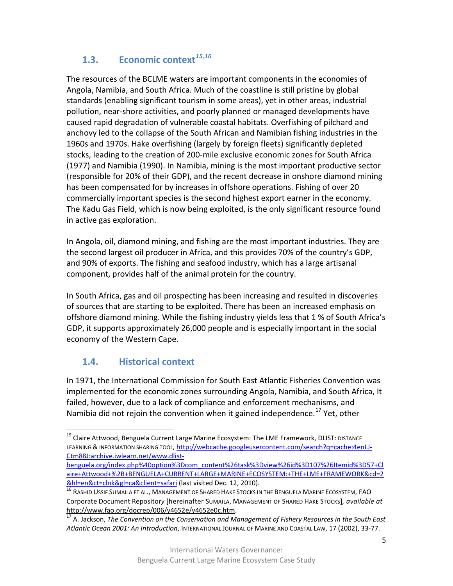# **1.3. Economic context***[15](#page-4-0)***,***[16](#page-4-1)*

The resources of the BCLME waters are important components in the economies of Angola, Namibia, and South Africa. Much of the coastline is still pristine by global standards (enabling significant tourism in some areas), yet in other areas, industrial pollution, near-shore activities, and poorly planned or managed developments have caused rapid degradation of vulnerable coastal habitats. Overfishing of pilchard and anchovy led to the collapse of the South African and Namibian fishing industries in the 1960s and 1970s. Hake overfishing (largely by foreign fleets) significantly depleted stocks, leading to the creation of 200-mile exclusive economic zones for South Africa (1977) and Namibia (1990). In Namibia, mining is the most important productive sector (responsible for 20% of their GDP), and the recent decrease in onshore diamond mining has been compensated for by increases in offshore operations. Fishing of over 20 commercially important species is the second highest export earner in the economy. The Kadu Gas Field, which is now being exploited, is the only significant resource found in active gas exploration.

In Angola, oil, diamond mining, and fishing are the most important industries. They are the second largest oil producer in Africa, and this provides 70% of the country's GDP, and 90% of exports. The fishing and seafood industry, which has a large artisanal component, provides half of the animal protein for the country.

In South Africa, gas and oil prospecting has been increasing and resulted in discoveries of sources that are starting to be exploited. There has been an increased emphasis on offshore diamond mining. While the fishing industry yields less that 1 % of South Africa's GDP, it supports approximately 26,000 people and is especially important in the social economy of the Western Cape.

## **1.4. Historical context**

In 1971, the International Commission for South East Atlantic Fisheries Convention was implemented for the economic zones surrounding Angola, Namibia, and South Africa, It failed, however, due to a lack of compliance and enforcement mechanisms, and Namibia did not rejoin the convention when it gained independence.<sup>[17](#page-4-2)</sup> Yet, other

<span id="page-4-0"></span><sup>&</sup>lt;sup>15</sup> Claire Attwood, Benguela Current Large Marine Ecosystem: The LME Framework, DLIST: DISTANCE LEARNING & INFORMATION SHARING TOOL, [http://webcache.googleusercontent.com/search?q=cache:4enLJ-](http://webcache.googleusercontent.com/search?q=cache:4enLJ-Ctm88J:archive.iwlearn.net/www.dlist-benguela.org/index.php%40option%3Dcom_content%26task%3Dview%26id%3D107%26Itemid%3D57+Claire+Attwood+%2B+BENGUELA+CURRENT+LARGE+MARINE+ECOSYSTEM:+THE+LME+FRAMEWORK&cd=2&hl=en&ct=clnk&gl=ca&client=safari)[Ctm88J:archive.iwlearn.net/www.dlist-](http://webcache.googleusercontent.com/search?q=cache:4enLJ-Ctm88J:archive.iwlearn.net/www.dlist-benguela.org/index.php%40option%3Dcom_content%26task%3Dview%26id%3D107%26Itemid%3D57+Claire+Attwood+%2B+BENGUELA+CURRENT+LARGE+MARINE+ECOSYSTEM:+THE+LME+FRAMEWORK&cd=2&hl=en&ct=clnk&gl=ca&client=safari)

[benguela.org/index.php%40option%3Dcom\\_content%26task%3Dview%26id%3D107%26Itemid%3D57+Cl](http://webcache.googleusercontent.com/search?q=cache:4enLJ-Ctm88J:archive.iwlearn.net/www.dlist-benguela.org/index.php%40option%3Dcom_content%26task%3Dview%26id%3D107%26Itemid%3D57+Claire+Attwood+%2B+BENGUELA+CURRENT+LARGE+MARINE+ECOSYSTEM:+THE+LME+FRAMEWORK&cd=2&hl=en&ct=clnk&gl=ca&client=safari) [aire+Attwood+%2B+BENGUELA+CURRENT+LARGE+MARINE+ECOSYSTEM:+THE+LME+FRAMEWORK&cd=2](http://webcache.googleusercontent.com/search?q=cache:4enLJ-Ctm88J:archive.iwlearn.net/www.dlist-benguela.org/index.php%40option%3Dcom_content%26task%3Dview%26id%3D107%26Itemid%3D57+Claire+Attwood+%2B+BENGUELA+CURRENT+LARGE+MARINE+ECOSYSTEM:+THE+LME+FRAMEWORK&cd=2&hl=en&ct=clnk&gl=ca&client=safari) <u>&hl=en&ct=clnk&gl=ca&client=safari</u> [\(](http://webcache.googleusercontent.com/search?q=cache:4enLJ-Ctm88J:archive.iwlearn.net/www.dlist-benguela.org/index.php%40option%3Dcom_content%26task%3Dview%26id%3D107%26Itemid%3D57+Claire+Attwood+%2B+BENGUELA+CURRENT+LARGE+MARINE+ECOSYSTEM:+THE+LME+FRAMEWORK&cd=2&hl=en&ct=clnk&gl=ca&client=safari)last visited Dec. 12, 2010).<br><sup>[16](http://webcache.googleusercontent.com/search?q=cache:4enLJ-Ctm88J:archive.iwlearn.net/www.dlist-benguela.org/index.php%40option%3Dcom_content%26task%3Dview%26id%3D107%26Itemid%3D57+Claire+Attwood+%2B+BENGUELA+CURRENT+LARGE+MARINE+ECOSYSTEM:+THE+LME+FRAMEWORK&cd=2&hl=en&ct=clnk&gl=ca&client=safari)</sup> RASHID USSIF SUMAILA ET AL., MANAGEMENT OF SHARED HAKE STOCKS IN THE BENGUELA MARINE ECOSYSTEM, FAO

<span id="page-4-1"></span>Corporate Document Repositor*y* [hereinafter SUMAILA, MANAGEMENT OF SHARED HAKE STOCKS]*, available at* [http://www.fao.org/docrep/006/y4652e/y4652e0c.htm.](http://www.fao.org/docrep/006/y4652e/y4652e0c.htm)

<span id="page-4-2"></span><sup>17</sup> A. Jackson, *The Convention on the Conservation and Management of Fishery Resources in the South East Atlantic Ocean 2001: An Introduction*, INTERNATIONAL JOURNAL OF MARINE AND COASTAL LAW, 17 (2002), 33-77.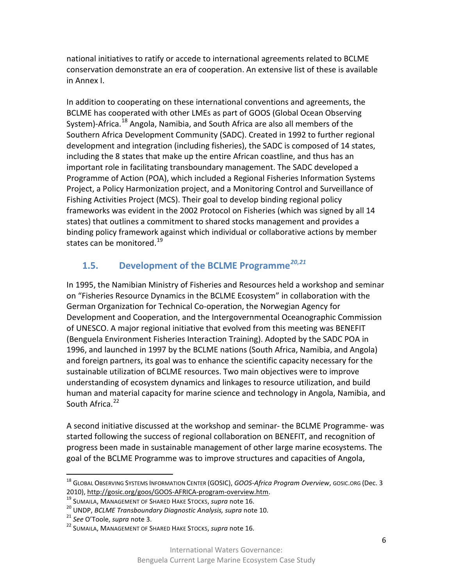national initiatives to ratify or accede to international agreements related to BCLME conservation demonstrate an era of cooperation. An extensive list of these is available in Annex I.

In addition to cooperating on these international conventions and agreements, the BCLME has cooperated with other LMEs as part of GOOS (Global Ocean Observing System)-Africa.<sup>[18](#page-5-0)</sup> Angola, Namibia, and South Africa are also all members of the Southern Africa Development Community (SADC). Created in 1992 to further regional development and integration (including fisheries), the SADC is composed of 14 states, including the 8 states that make up the entire African coastline, and thus has an important role in facilitating transboundary management. The SADC developed a Programme of Action (POA), which included a Regional Fisheries Information Systems Project, a Policy Harmonization project, and a Monitoring Control and Surveillance of Fishing Activities Project (MCS). Their goal to develop binding regional policy frameworks was evident in the 2002 Protocol on Fisheries (which was signed by all 14 states) that outlines a commitment to shared stocks management and provides a binding policy framework against which individual or collaborative actions by member states can be monitored.<sup>[19](#page-5-1)</sup>

# **1.5. Development of the BCLME Programme***[20](#page-5-2)***,***[21](#page-5-3)*

In 1995, the Namibian Ministry of Fisheries and Resources held a workshop and seminar on "Fisheries Resource Dynamics in the BCLME Ecosystem" in collaboration with the German Organization for Technical Co-operation, the Norwegian Agency for Development and Cooperation, and the Intergovernmental Oceanographic Commission of UNESCO. A major regional initiative that evolved from this meeting was BENEFIT (Benguela Environment Fisheries Interaction Training). Adopted by the SADC POA in 1996, and launched in 1997 by the BCLME nations (South Africa, Namibia, and Angola) and foreign partners, its goal was to enhance the scientific capacity necessary for the sustainable utilization of BCLME resources. Two main objectives were to improve understanding of ecosystem dynamics and linkages to resource utilization, and build human and material capacity for marine science and technology in Angola, Namibia, and South Africa.<sup>[22](#page-5-4)</sup>

A second initiative discussed at the workshop and seminar- the BCLME Programme- was started following the success of regional collaboration on BENEFIT, and recognition of progress been made in sustainable management of other large marine ecosystems. The goal of the BCLME Programme was to improve structures and capacities of Angola,

<span id="page-5-0"></span><sup>18</sup> GLOBAL OBSERVING SYSTEMS INFORMATION CENTER (GOSIC), *GOOS-Africa Program Overview*, GOSIC.ORG (Dec. 3 2010), [http://gosic.org/goos/GOOS-AFRICA-program-overview.htm.](http://gosic.org/goos/GOOS-AFRICA-program-overview.htm)

<span id="page-5-1"></span><sup>19</sup> SUMAILA, MANAGEMENT OF SHARED HAKE STOCKS, *supra* note 16.

<span id="page-5-2"></span><sup>20</sup> UNDP, *BCLME Transboundary Diagnostic Analysis, supra* note 10.

<span id="page-5-3"></span><sup>21</sup> *See* O'Toole, *supra* note 3.

<span id="page-5-4"></span><sup>22</sup> SUMAILA, MANAGEMENT OF SHARED HAKE STOCKS, *supra* note 16.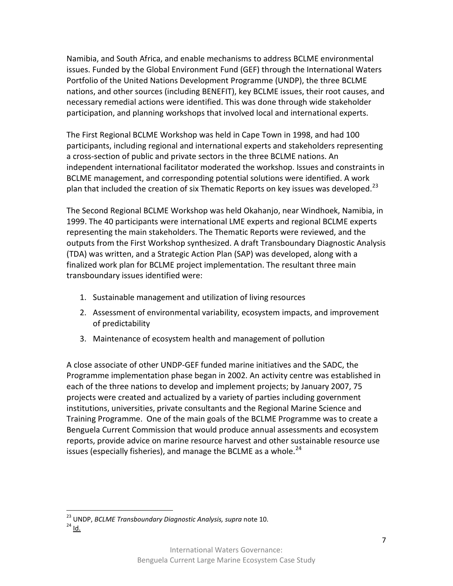Namibia, and South Africa, and enable mechanisms to address BCLME environmental issues. Funded by the Global Environment Fund (GEF) through the International Waters Portfolio of the United Nations Development Programme (UNDP), the three BCLME nations, and other sources (including BENEFIT), key BCLME issues, their root causes, and necessary remedial actions were identified. This was done through wide stakeholder participation, and planning workshops that involved local and international experts.

The First Regional BCLME Workshop was held in Cape Town in 1998, and had 100 participants, including regional and international experts and stakeholders representing a cross-section of public and private sectors in the three BCLME nations. An independent international facilitator moderated the workshop. Issues and constraints in BCLME management, and corresponding potential solutions were identified. A work plan that included the creation of six Thematic Reports on key issues was developed. $^{23}$  $^{23}$  $^{23}$ 

The Second Regional BCLME Workshop was held Okahanjo, near Windhoek, Namibia, in 1999. The 40 participants were international LME experts and regional BCLME experts representing the main stakeholders. The Thematic Reports were reviewed, and the outputs from the First Workshop synthesized. A draft Transboundary Diagnostic Analysis (TDA) was written, and a Strategic Action Plan (SAP) was developed, along with a finalized work plan for BCLME project implementation. The resultant three main transboundary issues identified were:

- 1. Sustainable management and utilization of living resources
- 2. Assessment of environmental variability, ecosystem impacts, and improvement of predictability
- 3. Maintenance of ecosystem health and management of pollution

A close associate of other UNDP-GEF funded marine initiatives and the SADC, the Programme implementation phase began in 2002. An activity centre was established in each of the three nations to develop and implement projects; by January 2007, 75 projects were created and actualized by a variety of parties including government institutions, universities, private consultants and the Regional Marine Science and Training Programme. One of the main goals of the BCLME Programme was to create a Benguela Current Commission that would produce annual assessments and ecosystem reports, provide advice on marine resource harvest and other sustainable resource use issues (especially fisheries), and manage the BCLME as a whole.<sup>[24](#page-6-1)</sup>

<span id="page-6-0"></span><sup>23</sup> UNDP, *BCLME Transboundary Diagnostic Analysis, supra* note 10.

<span id="page-6-1"></span> $^{24}$  Id.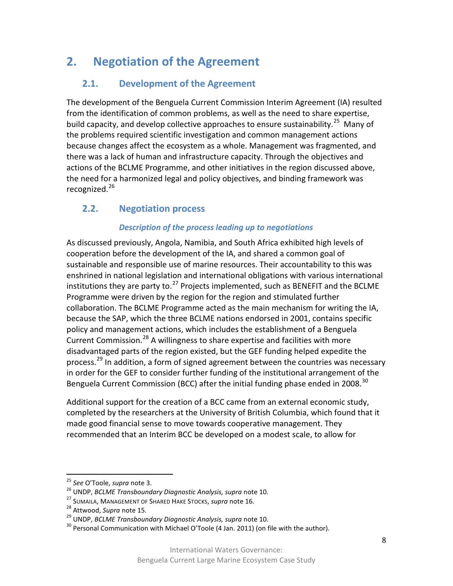# **2. Negotiation of the Agreement**

# **2.1. Development of the Agreement**

The development of the Benguela Current Commission Interim Agreement (IA) resulted from the identification of common problems, as well as the need to share expertise, build capacity, and develop collective approaches to ensure sustainability.<sup>[25](#page-7-0)</sup> Many of the problems required scientific investigation and common management actions because changes affect the ecosystem as a whole. Management was fragmented, and there was a lack of human and infrastructure capacity. Through the objectives and actions of the BCLME Programme, and other initiatives in the region discussed above, the need for a harmonized legal and policy objectives, and binding framework was recognized.<sup>[26](#page-7-1)</sup>

## **2.2. Negotiation process**

#### *Description of the process leading up to negotiations*

As discussed previously, Angola, Namibia, and South Africa exhibited high levels of cooperation before the development of the IA, and shared a common goal of sustainable and responsible use of marine resources. Their accountability to this was enshrined in national legislation and international obligations with various international institutions they are party to. $27$  Projects implemented, such as BENEFIT and the BCLME Programme were driven by the region for the region and stimulated further collaboration. The BCLME Programme acted as the main mechanism for writing the IA, because the SAP, which the three BCLME nations endorsed in 2001, contains specific policy and management actions, which includes the establishment of a Benguela Current Commission.<sup>[28](#page-7-3)</sup> A willingness to share expertise and facilities with more disadvantaged parts of the region existed, but the GEF funding helped expedite the process.<sup>[29](#page-7-4)</sup> In addition, a form of signed agreement between the countries was necessary in order for the GEF to consider further funding of the institutional arrangement of the Benguela Current Commission (BCC) after the initial funding phase ended in 2008.<sup>[30](#page-7-5)</sup>

Additional support for the creation of a BCC came from an external economic study, completed by the researchers at the University of British Columbia, which found that it made good financial sense to move towards cooperative management. They recommended that an Interim BCC be developed on a modest scale, to allow for

<span id="page-7-0"></span><sup>25</sup> *See* O'Toole, *supra* note 3.

<sup>26</sup> UNDP, *BCLME Transboundary Diagnostic Analysis, supra* note 10.

<span id="page-7-2"></span><span id="page-7-1"></span><sup>27</sup> SUMAILA, MANAGEMENT OF SHARED HAKE STOCKS, *supra* note 16.

<span id="page-7-3"></span><sup>28</sup> Attwood, *Supra* note 15.

<span id="page-7-4"></span><sup>29</sup> UNDP, *BCLME Transboundary Diagnostic Analysis, supra* note 10.

<span id="page-7-5"></span> $30$  Personal Communication with Michael O'Toole (4 Jan. 2011) (on file with the author).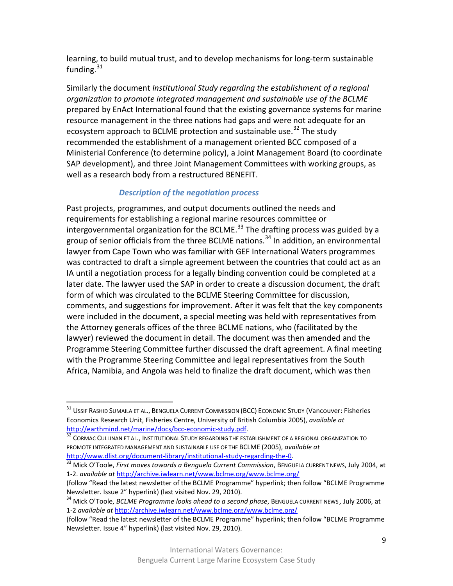learning, to build mutual trust, and to develop mechanisms for long-term sustainable funding.<sup>[31](#page-8-0)</sup>

Similarly the document *Institutional Study regarding the establishment of a regional organization to promote integrated management and sustainable use of the BCLME* prepared by EnAct International found that the existing governance systems for marine resource management in the three nations had gaps and were not adequate for an ecosystem approach to BCLME protection and sustainable use.<sup>[32](#page-8-1)</sup> The study recommended the establishment of a management oriented BCC composed of a Ministerial Conference (to determine policy), a Joint Management Board (to coordinate SAP development), and three Joint Management Committees with working groups, as well as a research body from a restructured BENEFIT.

#### *Description of the negotiation process*

Past projects, programmes, and output documents outlined the needs and requirements for establishing a regional marine resources committee or intergovernmental organization for the BCLME.<sup>[33](#page-8-2)</sup> The drafting process was guided by a group of senior officials from the three BCLME nations.<sup>[34](#page-8-3)</sup> In addition, an environmental lawyer from Cape Town who was familiar with GEF International Waters programmes was contracted to draft a simple agreement between the countries that could act as an IA until a negotiation process for a legally binding convention could be completed at a later date. The lawyer used the SAP in order to create a discussion document, the draft form of which was circulated to the BCLME Steering Committee for discussion, comments, and suggestions for improvement. After it was felt that the key components were included in the document, a special meeting was held with representatives from the Attorney generals offices of the three BCLME nations, who (facilitated by the lawyer) reviewed the document in detail. The document was then amended and the Programme Steering Committee further discussed the draft agreement. A final meeting with the Programme Steering Committee and legal representatives from the South Africa, Namibia, and Angola was held to finalize the draft document, which was then

<span id="page-8-0"></span><sup>31</sup> USSIF RASHID SUMAILA ET AL., BENGUELA CURRENT COMMISSION (BCC) ECONOMIC STUDY (Vancouver: Fisheries Economics Research Unit, Fisheries Centre, University of British Columbia 2005), *available at* [http://earthmind.net/marine/docs/bcc-economic-study.pdf.](http://earthmind.net/marine/docs/bcc-economic-study.pdf)<br><sup>[32](http://earthmind.net/marine/docs/bcc-economic-study.pdf)</sup> Cormac Cullinan ET AL., Institutional Study regarding the Establishment of a regional organization to

<span id="page-8-1"></span>PROMOTE INTEGRATED MANAGEMENT AND SUSTAINABLE USE OF THE BCLME (2005), *available at* 

<span id="page-8-2"></span>[http://www.dlist.org/document-library/institutional-study-regarding-the-0. 33](http://www.dlist.org/document-library/institutional-study-regarding-the-0) Mick O'Toole, *First moves towards a Benguela Current Commission*, BENGUELA CURRENT NEWS, July 2004, at 1-2. *available at* <http://archive.iwlearn.net/www.bclme.org/www.bclme.org/>

<sup>(</sup>follow "Read the latest newsletter of the BCLME Programme" hyperlink; then follow "BCLME Programme Newsletter. Issue 2" hyperlink) (last visited Nov. 29, 2010).

<span id="page-8-3"></span><sup>34</sup> Mick O'Toole, *BCLME Programme looks ahead to a second phase*, BENGUELA CURRENT NEWS *,* July 2006, at 1-2 *available at* <http://archive.iwlearn.net/www.bclme.org/www.bclme.org/>

<sup>(</sup>follow "Read the latest newsletter of the BCLME Programme" hyperlink; then follow "BCLME Programme Newsletter. Issue 4" hyperlink) (last visited Nov. 29, 2010).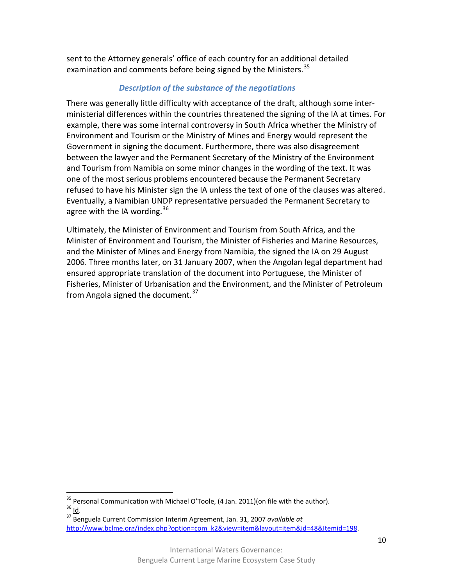sent to the Attorney generals' office of each country for an additional detailed examination and comments before being signed by the Ministers.<sup>[35](#page-9-0)</sup>

#### *Description of the substance of the negotiations*

There was generally little difficulty with acceptance of the draft, although some interministerial differences within the countries threatened the signing of the IA at times. For example, there was some internal controversy in South Africa whether the Ministry of Environment and Tourism or the Ministry of Mines and Energy would represent the Government in signing the document. Furthermore, there was also disagreement between the lawyer and the Permanent Secretary of the Ministry of the Environment and Tourism from Namibia on some minor changes in the wording of the text. It was one of the most serious problems encountered because the Permanent Secretary refused to have his Minister sign the IA unless the text of one of the clauses was altered. Eventually, a Namibian UNDP representative persuaded the Permanent Secretary to agree with the IA wording.  $36<sup>36</sup>$  $36<sup>36</sup>$ 

Ultimately, the Minister of Environment and Tourism from South Africa, and the Minister of Environment and Tourism, the Minister of Fisheries and Marine Resources, and the Minister of Mines and Energy from Namibia, the signed the IA on 29 August 2006. Three months later, on 31 January 2007, when the Angolan legal department had ensured appropriate translation of the document into Portuguese, the Minister of Fisheries, Minister of Urbanisation and the Environment, and the Minister of Petroleum from Angola signed the document.<sup>[37](#page-9-2)</sup>

<span id="page-9-1"></span><span id="page-9-0"></span><sup>&</sup>lt;sup>35</sup> Personal Communication with Michael O'Toole, (4 Jan. 2011)(on file with the author).  $36$  Id.

<span id="page-9-2"></span><sup>37</sup> Benguela Current Commission Interim Agreement, Jan. 31, 2007 *available at* [http://www.bclme.org/index.php?option=com\\_k2&view=item&layout=item&id=48&Itemid=198.](http://www.bclme.org/index.php?option=com_k2&view=item&layout=item&id=48&Itemid=198)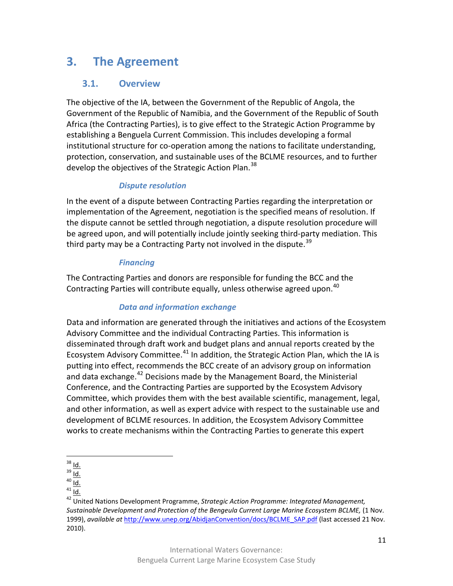# **3. The Agreement**

#### **3.1. Overview**

The objective of the IA, between the Government of the Republic of Angola, the Government of the Republic of Namibia, and the Government of the Republic of South Africa (the Contracting Parties), is to give effect to the Strategic Action Programme by establishing a Benguela Current Commission. This includes developing a formal institutional structure for co-operation among the nations to facilitate understanding, protection, conservation, and sustainable uses of the BCLME resources, and to further develop the objectives of the Strategic Action Plan.<sup>[38](#page-10-0)</sup>

#### *Dispute resolution*

In the event of a dispute between Contracting Parties regarding the interpretation or implementation of the Agreement, negotiation is the specified means of resolution. If the dispute cannot be settled through negotiation, a dispute resolution procedure will be agreed upon, and will potentially include jointly seeking third-party mediation. This third party may be a Contracting Party not involved in the dispute.<sup>[39](#page-10-1)</sup>

#### *Financing*

The Contracting Parties and donors are responsible for funding the BCC and the Contracting Parties will contribute equally, unless otherwise agreed upon.<sup>[40](#page-10-2)</sup>

#### *Data and information exchange*

Data and information are generated through the initiatives and actions of the Ecosystem Advisory Committee and the individual Contracting Parties. This information is disseminated through draft work and budget plans and annual reports created by the Ecosystem Advisory Committee.<sup>[41](#page-10-3)</sup> In addition, the Strategic Action Plan, which the IA is putting into effect, recommends the BCC create of an advisory group on information and data exchange.<sup>[42](#page-10-4)</sup> Decisions made by the Management Board, the Ministerial Conference, and the Contracting Parties are supported by the Ecosystem Advisory Committee, which provides them with the best available scientific, management, legal, and other information, as well as expert advice with respect to the sustainable use and development of BCLME resources. In addition, the Ecosystem Advisory Committee works to create mechanisms within the Contracting Parties to generate this expert

<span id="page-10-0"></span> $38$   $\underline{Id}$ .

 $39 \overline{1d}$ .

<span id="page-10-1"></span> $40 \overline{Id.}$ 

<span id="page-10-3"></span><span id="page-10-2"></span> $41 \over 1d.$ 

<span id="page-10-4"></span><sup>42</sup> United Nations Development Programme, *Strategic Action Programme: Integrated Management, Sustainable Development and Protection of the Bengeula Current Large Marine Ecosystem BCLME,* (1 Nov. 1999), *available at* [http://www.unep.org/AbidjanConvention/docs/BCLME\\_SAP.pdf](http://www.unep.org/AbidjanConvention/docs/BCLME_SAP.pdf) (last accessed 21 Nov. 2010).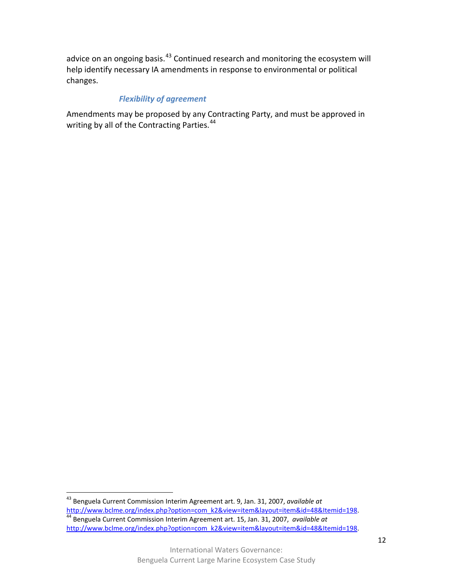advice on an ongoing basis.<sup>[43](#page-11-0)</sup> Continued research and monitoring the ecosystem will help identify necessary IA amendments in response to environmental or political changes.

#### *Flexibility of agreement*

Amendments may be proposed by any Contracting Party, and must be approved in writing by all of the Contracting Parties.<sup>[44](#page-11-1)</sup>

<span id="page-11-0"></span><sup>43</sup> Benguela Current Commission Interim Agreement art. 9, Jan. 31, 2007, *available at* [http://www.bclme.org/index.php?option=com\\_k2&view=item&layout=item&id=48&Itemid=198.](http://www.bclme.org/index.php?option=com_k2&view=item&layout=item&id=48&Itemid=198) [44](http://www.bclme.org/index.php?option=com_k2&view=item&layout=item&id=48&Itemid=198) Benguela Current Commission Interim Agreement art. 15, Jan. 31, 2007, *available at*

<span id="page-11-1"></span>[http://www.bclme.org/index.php?option=com\\_k2&view=item&layout=item&id=48&Itemid=198.](http://www.bclme.org/index.php?option=com_k2&view=item&layout=item&id=48&Itemid=198)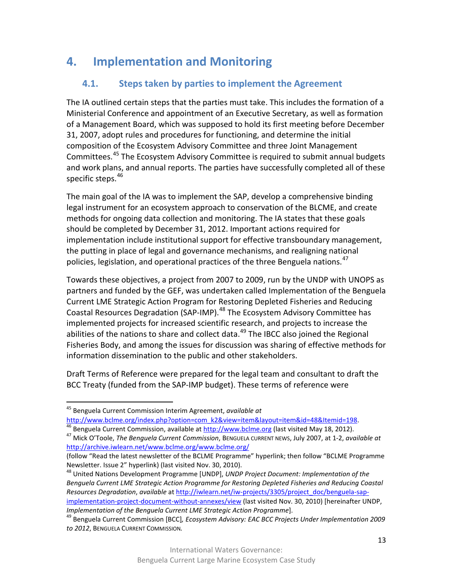# **4. Implementation and Monitoring**

# **4.1. Steps taken by parties to implement the Agreement**

The IA outlined certain steps that the parties must take. This includes the formation of a Ministerial Conference and appointment of an Executive Secretary, as well as formation of a Management Board, which was supposed to hold its first meeting before December 31, 2007, adopt rules and procedures for functioning, and determine the initial composition of the Ecosystem Advisory Committee and three Joint Management Committees.<sup>[45](#page-12-0)</sup> The Ecosystem Advisory Committee is required to submit annual budgets and work plans, and annual reports. The parties have successfully completed all of these specific steps.<sup>[46](#page-12-1)</sup>

The main goal of the IA was to implement the SAP, develop a comprehensive binding legal instrument for an ecosystem approach to conservation of the BLCME, and create methods for ongoing data collection and monitoring. The IA states that these goals should be completed by December 31, 2012. Important actions required for implementation include institutional support for effective transboundary management, the putting in place of legal and governance mechanisms, and realigning national policies, legislation, and operational practices of the three Benguela nations.<sup>[47](#page-12-2)</sup>

Towards these objectives, a project from 2007 to 2009, run by the UNDP with UNOPS as partners and funded by the GEF, was undertaken called Implementation of the Benguela Current LME Strategic Action Program for Restoring Depleted Fisheries and Reducing Coastal Resources Degradation (SAP-IMP).<sup>[48](#page-12-3)</sup> The Ecosystem Advisory Committee has implemented projects for increased scientific research, and projects to increase the abilities of the nations to share and collect data.<sup>[49](#page-12-4)</sup> The IBCC also joined the Regional Fisheries Body, and among the issues for discussion was sharing of effective methods for information dissemination to the public and other stakeholders.

Draft Terms of Reference were prepared for the legal team and consultant to draft the BCC Treaty (funded from the SAP-IMP budget). These terms of reference were

<span id="page-12-0"></span><sup>45</sup> Benguela Current Commission Interim Agreement, *available at* [http://www.bclme.org/index.php?option=com\\_k2&view=item&layout=item&id=48&Itemid=198.](http://www.bclme.org/index.php?option=com_k2&view=item&layout=item&id=48&Itemid=198)

<sup>&</sup>lt;sup>46</sup> Benguela Current Commission, available at [http://www.bclme.org](http://www.bclme.org/) (last visited May 18, 2012).

<span id="page-12-2"></span><span id="page-12-1"></span><sup>47</sup> Mick O'Toole, *The Benguela Current Commission*, BENGUELA CURRENT NEWS, July 2007, at 1-2, *available at* <http://archive.iwlearn.net/www.bclme.org/www.bclme.org/>

<sup>(</sup>follow "Read the latest newsletter of the BCLME Programme" hyperlink; then follow "BCLME Programme Newsletter. Issue 2" hyperlink) (last visited Nov. 30, 2010).

<span id="page-12-3"></span><sup>48</sup> United Nations Development Programme [UNDP], *UNDP Project Document: Implementation of the Benguela Current LME Strategic Action Programme for Restoring Depleted Fisheries and Reducing Coastal Resources Degradation*, *available* at [http://iwlearn.net/iw-projects/3305/project\\_doc/benguela-sap](http://iwlearn.net/iw-projects/3305/project_doc/benguela-sap-implementation-project-document-without-annexes/view)[implementation-project-document-without-annexes/view](http://iwlearn.net/iw-projects/3305/project_doc/benguela-sap-implementation-project-document-without-annexes/view) (last visited Nov. 30, 2010) [hereinafter UNDP,

<span id="page-12-4"></span>*Implementation of the Benguela Current LME Strategic Action Programme*].<br><sup>49</sup> Benguela Current Commission [BCC], *Ecosystem Advisory: EAC BCC Projects Under Implementation 2009 to 2012*, BENGUELA CURRENT COMMISSION*.*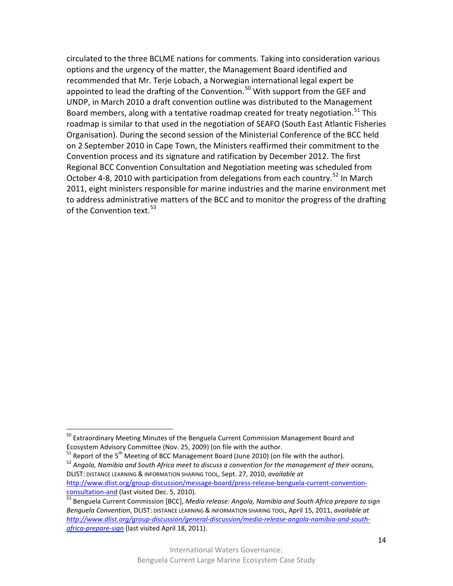circulated to the three BCLME nations for comments. Taking into consideration various options and the urgency of the matter, the Management Board identified and recommended that Mr. Terje Lobach, a Norwegian international legal expert be appointed to lead the drafting of the Convention.<sup>[50](#page-13-0)</sup> With support from the GEF and UNDP, in March 2010 a draft convention outline was distributed to the Management Board members, along with a tentative roadmap created for treaty negotiation.<sup>[51](#page-13-1)</sup> This roadmap is similar to that used in the negotiation of SEAFO (South East Atlantic Fisheries Organisation). During the second session of the Ministerial Conference of the BCC held on 2 September 2010 in Cape Town, the Ministers reaffirmed their commitment to the Convention process and its signature and ratification by December 2012. The first Regional BCC Convention Consultation and Negotiation meeting was scheduled from October 4-8, 2010 with participation from delegations from each country.<sup>[52](#page-13-2)</sup> In March 2011, eight ministers responsible for marine industries and the marine environment met to address administrative matters of the BCC and to monitor the progress of the drafting of the Convention text.<sup>[53](#page-13-3)</sup>

<span id="page-13-0"></span><sup>&</sup>lt;sup>50</sup> Extraordinary Meeting Minutes of the Benguela Current Commission Management Board and Ecosystem Advisory Committee (Nov. 25, 2009) (on file with the author.

<span id="page-13-1"></span><sup>&</sup>lt;sup>51</sup> Report of the 5<sup>th</sup> Meeting of BCC Management Board (June 2010) (on file with the author).<br><sup>52</sup> Angola, Namibia and South Africa meet to discuss a convention for the management of their oceans,

<span id="page-13-2"></span>DLIST: DISTANCE LEARNING & INFORMATION SHARING TOOL, Sept. 27, 2010, *available at* [http://www.dlist.org/group-discussion/message-board/press-release-benguela-current-convention-](http://www.dlist.org/group-discussion/message-board/press-release-benguela-current-convention-consultation-and)

<span id="page-13-3"></span>consultation-and (last visited Dec. 5, 2010).<br><sup>[53](http://www.dlist.org/group-discussion/message-board/press-release-benguela-current-convention-consultation-and)</sup> Benguela Current Commission [BCC], *Media release: Angola, Namibia and South Africa prepare to sign Benguela Convention*, DLIST: DISTANCE LEARNING & INFORMATION SHARING TOOL, April 15, 2011, *available at [http://www.dlist.org/group-discussion/general-discussion/media-release-angola-namibia-and-south](http://www.dlist.org/group-discussion/general-discussion/media-release-angola-namibia-and-south-africa-prepare-sign)[africa-prepare-sign](http://www.dlist.org/group-discussion/general-discussion/media-release-angola-namibia-and-south-africa-prepare-sign)* (last visited April 18, 2011).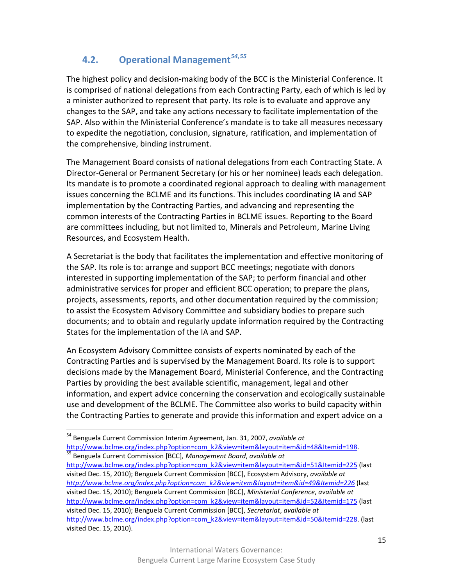# **4.2. Operational Management***[54](#page-14-0)***,***[55](#page-14-1)*

The highest policy and decision-making body of the BCC is the Ministerial Conference. It is comprised of national delegations from each Contracting Party, each of which is led by a minister authorized to represent that party. Its role is to evaluate and approve any changes to the SAP, and take any actions necessary to facilitate implementation of the SAP. Also within the Ministerial Conference's mandate is to take all measures necessary to expedite the negotiation, conclusion, signature, ratification, and implementation of the comprehensive, binding instrument.

The Management Board consists of national delegations from each Contracting State. A Director-General or Permanent Secretary (or his or her nominee) leads each delegation. Its mandate is to promote a coordinated regional approach to dealing with management issues concerning the BCLME and its functions. This includes coordinating IA and SAP implementation by the Contracting Parties, and advancing and representing the common interests of the Contracting Parties in BCLME issues. Reporting to the Board are committees including, but not limited to, Minerals and Petroleum, Marine Living Resources, and Ecosystem Health.

A Secretariat is the body that facilitates the implementation and effective monitoring of the SAP. Its role is to: arrange and support BCC meetings; negotiate with donors interested in supporting implementation of the SAP; to perform financial and other administrative services for proper and efficient BCC operation; to prepare the plans, projects, assessments, reports, and other documentation required by the commission; to assist the Ecosystem Advisory Committee and subsidiary bodies to prepare such documents; and to obtain and regularly update information required by the Contracting States for the implementation of the IA and SAP.

An Ecosystem Advisory Committee consists of experts nominated by each of the Contracting Parties and is supervised by the Management Board. Its role is to support decisions made by the Management Board, Ministerial Conference, and the Contracting Parties by providing the best available scientific, management, legal and other information, and expert advice concerning the conservation and ecologically sustainable use and development of the BCLME. The Committee also works to build capacity within the Contracting Parties to generate and provide this information and expert advice on a

<span id="page-14-1"></span><sup>55</sup> Benguela Current Commission [BCC]*, Management Board*, *available at* [http://www.bclme.org/index.php?option=com\\_k2&view=item&layout=item&id=51&Itemid=225](http://www.bclme.org/index.php?option=com_k2&view=item&layout=item&id=51&Itemid=225) (last visited Dec. 15, 2010); Benguela Current Commission [BCC], Ecosystem Advisory, *available at [http://www.bclme.org/index.php?option=com\\_k2&view=item&layout=item&id=49&Itemid=226](http://www.bclme.org/index.php?option=com_k2&view=item&layout=item&id=49&Itemid=226)* (last visited Dec. 15, 2010); Benguela Current Commission [BCC], *Ministerial Conference*, *available at* [http://www.bclme.org/index.php?option=com\\_k2&view=item&layout=item&id=52&Itemid=175](http://www.bclme.org/index.php?option=com_k2&view=item&layout=item&id=52&Itemid=175) (last visited Dec. 15, 2010); Benguela Current Commission [BCC], *Secretariat*, *available at*  [http://www.bclme.org/index.php?option=com\\_k2&view=item&layout=item&id=50&Itemid=228.](http://www.bclme.org/index.php?option=com_k2&view=item&layout=item&id=50&Itemid=228) (last visited Dec. 15, 2010).

<span id="page-14-0"></span><sup>54</sup> Benguela Current Commission Interim Agreement, Jan. 31, 2007, *available at* [http://www.bclme.org/index.php?option=com\\_k2&view=item&layout=item&id=48&Itemid=198.](http://www.bclme.org/index.php?option=com_k2&view=item&layout=item&id=48&Itemid=198)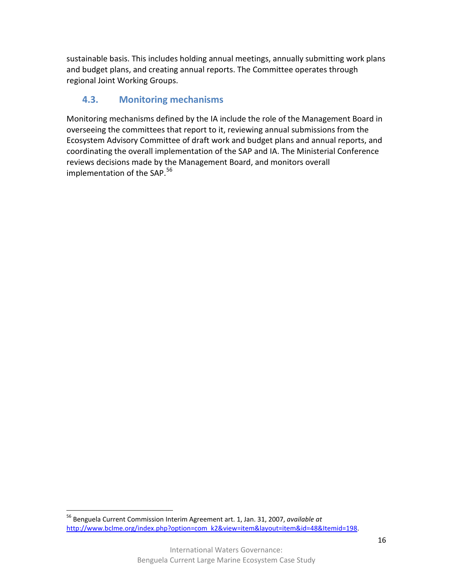sustainable basis. This includes holding annual meetings, annually submitting work plans and budget plans, and creating annual reports. The Committee operates through regional Joint Working Groups.

### **4.3. Monitoring mechanisms**

Monitoring mechanisms defined by the IA include the role of the Management Board in overseeing the committees that report to it, reviewing annual submissions from the Ecosystem Advisory Committee of draft work and budget plans and annual reports, and coordinating the overall implementation of the SAP and IA. The Ministerial Conference reviews decisions made by the Management Board, and monitors overall implementation of the SAP.<sup>[56](#page-15-0)</sup>

<span id="page-15-0"></span><sup>56</sup> Benguela Current Commission Interim Agreement art. 1, Jan. 31, 2007, *available at* [http://www.bclme.org/index.php?option=com\\_k2&view=item&layout=item&id=48&Itemid=198.](http://www.bclme.org/index.php?option=com_k2&view=item&layout=item&id=48&Itemid=198)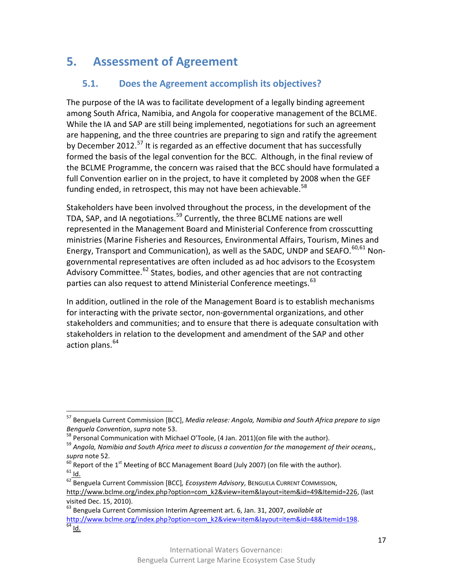# **5. Assessment of Agreement**

## **5.1. Does the Agreement accomplish its objectives?**

The purpose of the IA was to facilitate development of a legally binding agreement among South Africa, Namibia, and Angola for cooperative management of the BCLME. While the IA and SAP are still being implemented, negotiations for such an agreement are happening, and the three countries are preparing to sign and ratify the agreement by December 2012.<sup>[57](#page-16-0)</sup> It is regarded as an effective document that has successfully formed the basis of the legal convention for the BCC. Although, in the final review of the BCLME Programme, the concern was raised that the BCC should have formulated a full Convention earlier on in the project, to have it completed by 2008 when the GEF funding ended, in retrospect, this may not have been achievable.<sup>[58](#page-16-1)</sup>

Stakeholders have been involved throughout the process, in the development of the TDA, SAP, and IA negotiations.<sup>[59](#page-16-2)</sup> Currently, the three BCLME nations are well represented in the Management Board and Ministerial Conference from crosscutting ministries (Marine Fisheries and Resources, Environmental Affairs, Tourism, Mines and Energy, Transport and Communication), as well as the SADC, UNDP and SEAFO.<sup>[60,](#page-16-3)[61](#page-16-4)</sup> Nongovernmental representatives are often included as ad hoc advisors to the Ecosystem Advisory Committee.<sup>[62](#page-16-5)</sup> States, bodies, and other agencies that are not contracting parties can also request to attend Ministerial Conference meetings.<sup>[63](#page-16-6)</sup>

In addition, outlined in the role of the Management Board is to establish mechanisms for interacting with the private sector, non-governmental organizations, and other stakeholders and communities; and to ensure that there is adequate consultation with stakeholders in relation to the development and amendment of the SAP and other action plans.<sup>[64](#page-16-7)</sup>

<span id="page-16-0"></span><sup>57</sup> Benguela Current Commission [BCC], *Media release: Angola, Namibia and South Africa prepare to sign Benguela Convention, supra* note 53.<br><sup>58</sup> Personal Communication with Michael O'Toole, (4 Jan. 2011)(on file with the author).

<span id="page-16-2"></span><span id="page-16-1"></span><sup>59</sup> *Angola, Namibia and South Africa meet to discuss a convention for the management of their oceans,*, *supra* note 52.

<span id="page-16-4"></span><span id="page-16-3"></span> $^{60}$  Report of the 1<sup>st</sup> Meeting of BCC Management Board (July 2007) (on file with the author).<br><sup>61</sup> Id.

<span id="page-16-5"></span><sup>62</sup> Benguela Current Commission [BCC]*, Ecosystem Advisory*, BENGUELA CURRENT COMMISSION, [http://www.bclme.org/index.php?option=com\\_k2&view=item&layout=item&id=49&Itemid=226,](http://www.bclme.org/index.php?option=com_k2&view=item&layout=item&id=49&Itemid=226) (last visited Dec. 15, 2010).

<span id="page-16-7"></span><span id="page-16-6"></span><sup>63</sup> Benguela Current Commission Interim Agreement art. 6, Jan. 31, 2007, *available at* [http://www.bclme.org/index.php?option=com\\_k2&view=item&layout=item&id=48&Itemid=198.](http://www.bclme.org/index.php?option=com_k2&view=item&layout=item&id=48&Itemid=198)  $\overline{64}$  Id.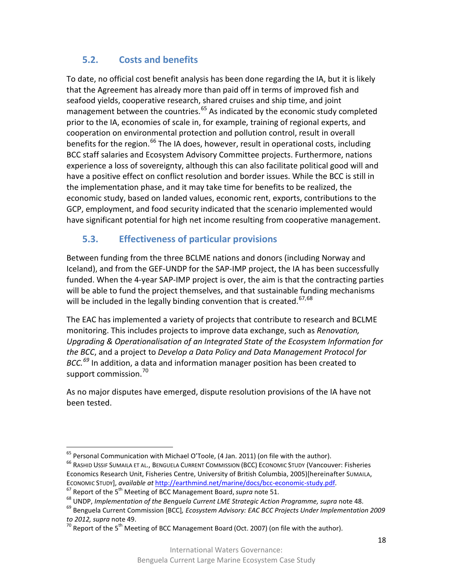### **5.2. Costs and benefits**

To date, no official cost benefit analysis has been done regarding the IA, but it is likely that the Agreement has already more than paid off in terms of improved fish and seafood yields, cooperative research, shared cruises and ship time, and joint management between the countries. $65$  As indicated by the economic study completed prior to the IA, economies of scale in, for example, training of regional experts, and cooperation on environmental protection and pollution control, result in overall benefits for the region.<sup>[66](#page-17-1)</sup> The IA does, however, result in operational costs, including BCC staff salaries and Ecosystem Advisory Committee projects. Furthermore, nations experience a loss of sovereignty, although this can also facilitate political good will and have a positive effect on conflict resolution and border issues. While the BCC is still in the implementation phase, and it may take time for benefits to be realized, the economic study, based on landed values, economic rent, exports, contributions to the GCP, employment, and food security indicated that the scenario implemented would have significant potential for high net income resulting from cooperative management.

### **5.3. Effectiveness of particular provisions**

Between funding from the three BCLME nations and donors (including Norway and Iceland), and from the GEF-UNDP for the SAP-IMP project, the IA has been successfully funded. When the 4-year SAP-IMP project is over, the aim is that the contracting parties will be able to fund the project themselves, and that sustainable funding mechanisms will be included in the legally binding convention that is created.<sup>[67](#page-17-2),[68](#page-17-3)</sup>

The EAC has implemented a variety of projects that contribute to research and BCLME monitoring. This includes projects to improve data exchange, such as *Renovation, Upgrading & Operationalisation of an Integrated State of the Ecosystem Information for the BCC*, and a project to *Develop a Data Policy and Data Management Protocol for BCC.[69](#page-17-4)* In addition, a data and information manager position has been created to support commission.<sup>[70](#page-17-5)</sup>

As no major disputes have emerged, dispute resolution provisions of the IA have not been tested.

<span id="page-17-0"></span> $65$  Personal Communication with Michael O'Toole, (4 Jan. 2011) (on file with the author).

<span id="page-17-1"></span><sup>66</sup> RASHID USSIF SUMAILA ET AL., BENGUELA CURRENT COMMISSION (BCC) ECONOMIC STUDY (Vancouver: Fisheries Economics Research Unit, Fisheries Centre, University of British Columbia, 2005)[hereinafter SUMAILA, ECONOMIC STUDY], *available at* [http://earthmind.net/marine/docs/bcc-economic-study.pdf.](http://earthmind.net/marine/docs/bcc-economic-study.pdf)

<span id="page-17-2"></span><sup>&</sup>lt;sup>67</sup> Report of the 5<sup>th</sup> Meeting of BCC Management Board, *supra* note 51.

<span id="page-17-3"></span><sup>68</sup> UNDP, *Implementation of the Benguela Current LME Strategic Action Programme, supra* note 48.

<span id="page-17-4"></span><sup>69</sup> Benguela Current Commission [BCC]*, Ecosystem Advisory: EAC BCC Projects Under Implementation 2009 to 2012, supra* note 49.

<span id="page-17-5"></span> $^{70}$  Report of the 5<sup>th</sup> Meeting of BCC Management Board (Oct. 2007) (on file with the author).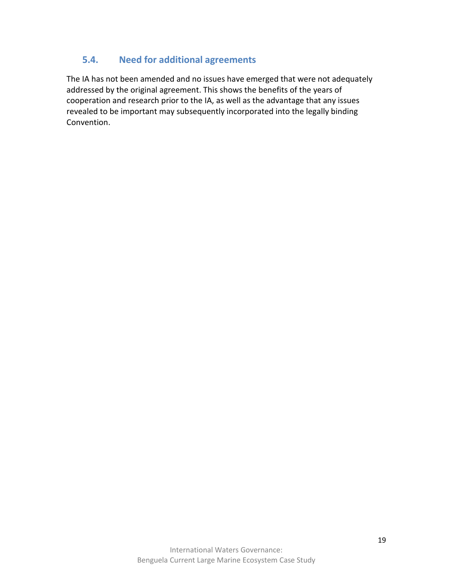#### **5.4. Need for additional agreements**

The IA has not been amended and no issues have emerged that were not adequately addressed by the original agreement. This shows the benefits of the years of cooperation and research prior to the IA, as well as the advantage that any issues revealed to be important may subsequently incorporated into the legally binding Convention.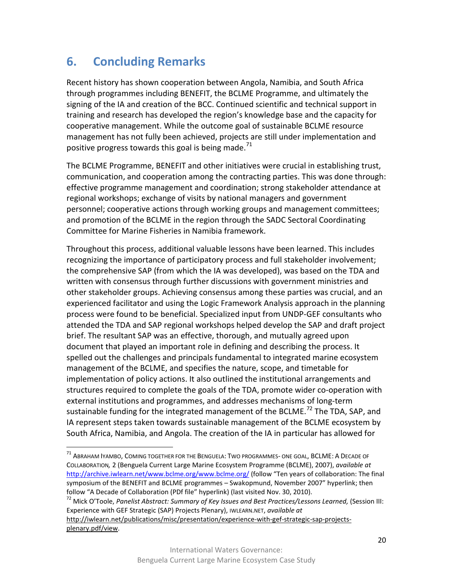# **6. Concluding Remarks**

Recent history has shown cooperation between Angola, Namibia, and South Africa through programmes including BENEFIT, the BCLME Programme, and ultimately the signing of the IA and creation of the BCC. Continued scientific and technical support in training and research has developed the region's knowledge base and the capacity for cooperative management. While the outcome goal of sustainable BCLME resource management has not fully been achieved, projects are still under implementation and positive progress towards this goal is being made.<sup>[71](#page-19-0)</sup>

The BCLME Programme, BENEFIT and other initiatives were crucial in establishing trust, communication, and cooperation among the contracting parties. This was done through: effective programme management and coordination; strong stakeholder attendance at regional workshops; exchange of visits by national managers and government personnel; cooperative actions through working groups and management committees; and promotion of the BCLME in the region through the SADC Sectoral Coordinating Committee for Marine Fisheries in Namibia framework.

Throughout this process, additional valuable lessons have been learned. This includes recognizing the importance of participatory process and full stakeholder involvement; the comprehensive SAP (from which the IA was developed), was based on the TDA and written with consensus through further discussions with government ministries and other stakeholder groups. Achieving consensus among these parties was crucial, and an experienced facilitator and using the Logic Framework Analysis approach in the planning process were found to be beneficial. Specialized input from UNDP-GEF consultants who attended the TDA and SAP regional workshops helped develop the SAP and draft project brief. The resultant SAP was an effective, thorough, and mutually agreed upon document that played an important role in defining and describing the process. It spelled out the challenges and principals fundamental to integrated marine ecosystem management of the BCLME, and specifies the nature, scope, and timetable for implementation of policy actions. It also outlined the institutional arrangements and structures required to complete the goals of the TDA, promote wider co-operation with external institutions and programmes, and addresses mechanisms of long-term sustainable funding for the integrated management of the BCLME.<sup>[72](#page-19-1)</sup> The TDA, SAP, and IA represent steps taken towards sustainable management of the BCLME ecosystem by South Africa, Namibia, and Angola. The creation of the IA in particular has allowed for

[http://iwlearn.net/publications/misc/presentation/experience-with-gef-strategic-sap-projects](http://iwlearn.net/publications/misc/presentation/experience-with-gef-strategic-sap-projects-plenary.pdf/view)[plenary.pdf/view.](http://iwlearn.net/publications/misc/presentation/experience-with-gef-strategic-sap-projects-plenary.pdf/view)

<span id="page-19-0"></span><sup>71</sup> ABRAHAM IYAMBO, COMING TOGETHER FOR THE BENGUELA: TWO PROGRAMMES- ONE GOAL, BCLME: <sup>A</sup> DECADE OF COLLABORATION*,* 2 (Benguela Current Large Marine Ecosystem Programme (BCLME), 2007), *available at*  <http://archive.iwlearn.net/www.bclme.org/www.bclme.org/> (follow "Ten years of collaboration: The final symposium of the BENEFIT and BCLME programmes – Swakopmund, November 2007" hyperlink; then follow "A Decade of Collaboration (PDf file" hyperlink) (last visited Nov. 30, 2010).

<span id="page-19-1"></span><sup>72</sup> Mick O'Toole, *Panelist Abstract: Summary of Key Issues and Best Practices/Lessons Learned,* (Session III: Experience with GEF Strategic (SAP) Projects Plenary), IWLEARN.NET, *available at*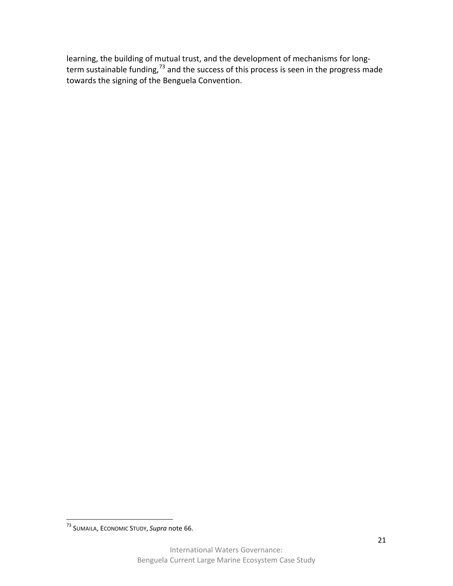learning, the building of mutual trust, and the development of mechanisms for long-term sustainable funding,<sup>[73](#page-20-0)</sup> and the success of this process is seen in the progress made towards the signing of the Benguela Convention.

<span id="page-20-0"></span><sup>73</sup> SUMAILA, ECONOMIC STUDY, *Supra* note 66.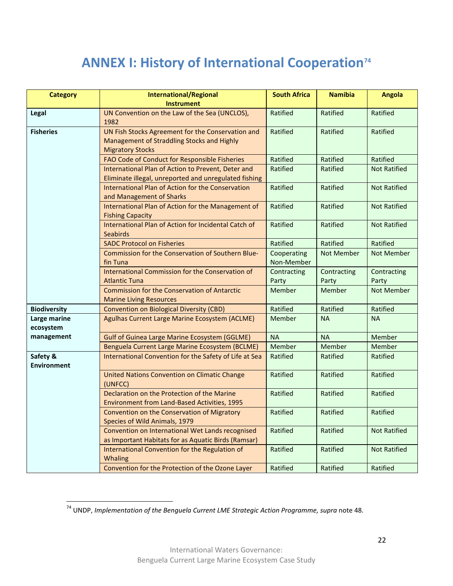# **ANNEX I: History of International Cooperation<sup>74</sup>**

| <b>Category</b>                | <b>International/Regional</b><br><b>Instrument</b>                                                                         | <b>South Africa</b>       | <b>Namibia</b>       | <b>Angola</b>        |
|--------------------------------|----------------------------------------------------------------------------------------------------------------------------|---------------------------|----------------------|----------------------|
| Legal                          | UN Convention on the Law of the Sea (UNCLOS),<br>1982                                                                      | Ratified                  | Ratified             | Ratified             |
| <b>Fisheries</b>               | UN Fish Stocks Agreement for the Conservation and<br>Management of Straddling Stocks and Highly<br><b>Migratory Stocks</b> | Ratified                  | Ratified             | Ratified             |
|                                | FAO Code of Conduct for Responsible Fisheries                                                                              | Ratified                  | Ratified             | Ratified             |
|                                | International Plan of Action to Prevent, Deter and<br>Eliminate illegal, unreported and unregulated fishing                | Ratified                  | Ratified             | <b>Not Ratified</b>  |
|                                | International Plan of Action for the Conservation<br>and Management of Sharks                                              | Ratified                  | Ratified             | <b>Not Ratified</b>  |
|                                | International Plan of Action for the Management of<br><b>Fishing Capacity</b>                                              | Ratified                  | Ratified             | <b>Not Ratified</b>  |
|                                | International Plan of Action for Incidental Catch of<br><b>Seabirds</b>                                                    | Ratified                  | Ratified             | <b>Not Ratified</b>  |
|                                | <b>SADC Protocol on Fisheries</b>                                                                                          | Ratified                  | Ratified             | Ratified             |
|                                | Commission for the Conservation of Southern Blue-<br>fin Tuna                                                              | Cooperating<br>Non-Member | Not Member           | Not Member           |
|                                | International Commission for the Conservation of<br><b>Atlantic Tuna</b>                                                   | Contracting<br>Party      | Contracting<br>Party | Contracting<br>Party |
|                                | <b>Commission for the Conservation of Antarctic</b><br><b>Marine Living Resources</b>                                      | Member                    | Member               | Not Member           |
| <b>Biodiversity</b>            | <b>Convention on Biological Diversity (CBD)</b>                                                                            | Ratified                  | Ratified             | Ratified             |
| Large marine<br>ecosystem      | Agulhas Current Large Marine Ecosystem (ACLME)                                                                             | <b>Member</b>             | <b>NA</b>            | <b>NA</b>            |
| management                     | <b>Gulf of Guinea Large Marine Ecosystem (GGLME)</b>                                                                       | <b>NA</b>                 | <b>NA</b>            | Member               |
|                                | Benguela Current Large Marine Ecosystem (BCLME)                                                                            | Member                    | Member               | Member               |
| Safety &<br><b>Environment</b> | International Convention for the Safety of Life at Sea                                                                     | Ratified                  | Ratified             | Ratified             |
|                                | United Nations Convention on Climatic Change<br>(UNFCC)                                                                    | Ratified                  | Ratified             | Ratified             |
|                                | Declaration on the Protection of the Marine<br><b>Environment from Land-Based Activities, 1995</b>                         | Ratified                  | Ratified             | Ratified             |
|                                | Convention on the Conservation of Migratory<br>Species of Wild Animals, 1979                                               | Ratified                  | Ratified             | Ratified             |
|                                | Convention on International Wet Lands recognised<br>as Important Habitats for as Aquatic Birds (Ramsar)                    | Ratified                  | Ratified             | <b>Not Ratified</b>  |
|                                | International Convention for the Regulation of<br>Whaling                                                                  | Ratified                  | Ratified             | <b>Not Ratified</b>  |
|                                | Convention for the Protection of the Ozone Layer                                                                           | Ratified                  | Ratified             | Ratified             |

<span id="page-21-0"></span><sup>74</sup> UNDP, *Implementation of the Benguela Current LME Strategic Action Programme, supra* note 48.